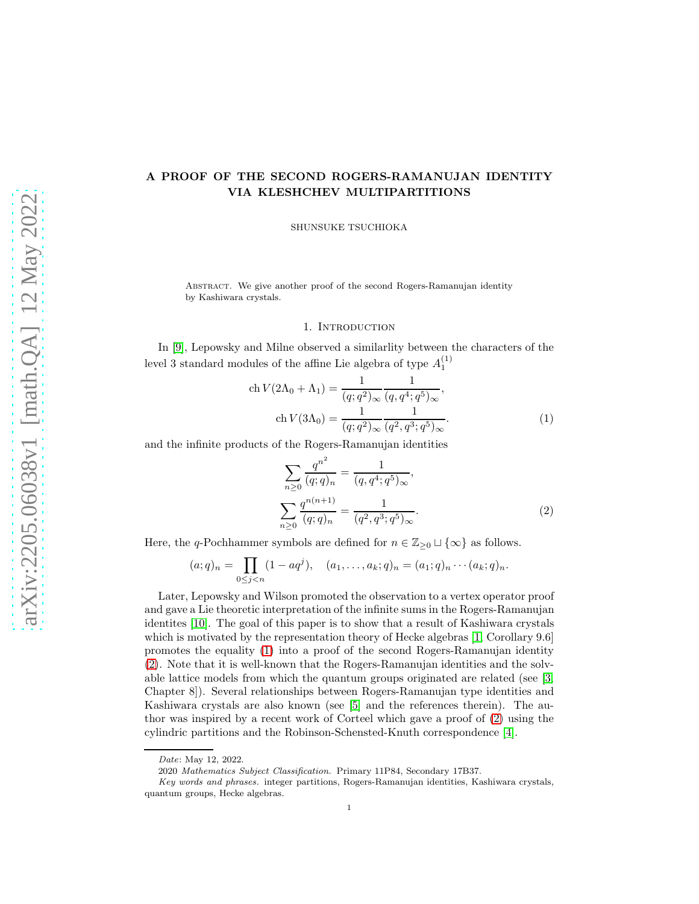# A PROOF OF THE SECOND ROGERS-RAMANUJAN IDENTITY VIA KLESHCHEV MULTIPARTITIONS

SHUNSUKE TSUCHIOKA

Abstract. We give another proof of the second Rogers-Ramanujan identity by Kashiwara crystals.

#### <span id="page-0-0"></span>1. INTRODUCTION

In [\[9\]](#page-4-0), Lepowsky and Milne observed a similarlity between the characters of the level 3 standard modules of the affine Lie algebra of type  $A_1^{(1)}$ 

$$
\operatorname{ch} V(2\Lambda_0 + \Lambda_1) = \frac{1}{(q;q^2)_{\infty}} \frac{1}{(q,q^4;q^5)_{\infty}},
$$
  
\n
$$
\operatorname{ch} V(3\Lambda_0) = \frac{1}{(q;q^2)_{\infty}} \frac{1}{(q^2,q^3;q^5)_{\infty}}.
$$
\n(1)

and the infinite products of the Rogers-Ramanujan identities

<span id="page-0-1"></span>
$$
\sum_{n\geq 0} \frac{q^{n^2}}{(q;q)_n} = \frac{1}{(q,q^4;q^5)_{\infty}},
$$

$$
\sum_{n\geq 0} \frac{q^{n(n+1)}}{(q;q)_n} = \frac{1}{(q^2,q^3;q^5)_{\infty}}.
$$
(2)

Here, the q-Pochhammer symbols are defined for  $n \in \mathbb{Z}_{\geq 0} \sqcup \{\infty\}$  as follows.

$$
(a;q)_n = \prod_{0 \le j < n} (1 - aq^j), \quad (a_1, \ldots, a_k; q)_n = (a_1; q)_n \cdots (a_k; q)_n.
$$

Later, Lepowsky and Wilson promoted the observation to a vertex operator proof and gave a Lie theoretic interpretation of the infinite sums in the Rogers-Ramanujan identites [\[10\]](#page-4-1). The goal of this paper is to show that a result of Kashiwara crystals which is motivated by the representation theory of Hecke algebras [\[1,](#page-4-2) Corollary 9.6] promotes the equality [\(1\)](#page-0-0) into a proof of the second Rogers-Ramanujan identity [\(2\)](#page-0-1). Note that it is well-known that the Rogers-Ramanujan identities and the solvable lattice models from which the quantum groups originated are related (see [\[3,](#page-4-3) Chapter 8]). Several relationships between Rogers-Ramanujan type identities and Kashiwara crystals are also known (see [\[5\]](#page-4-4) and the references therein). The author was inspired by a recent work of Corteel which gave a proof of [\(2\)](#page-0-1) using the cylindric partitions and the Robinson-Schensted-Knuth correspondence [\[4\]](#page-4-5).

*Date*: May 12, 2022.

<sup>2020</sup> *Mathematics Subject Classification.* Primary 11P84, Secondary 17B37.

*Key words and phrases.* integer partitions, Rogers-Ramanujan identities, Kashiwara crystals, quantum groups, Hecke algebras.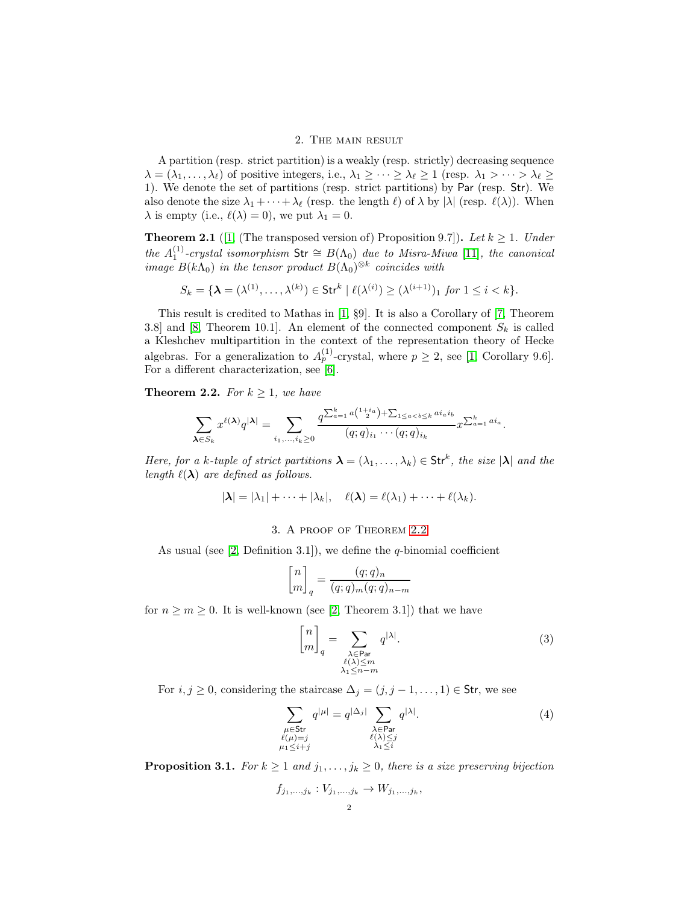### 2. The main result

A partition (resp. strict partition) is a weakly (resp. strictly) decreasing sequence  $\lambda = (\lambda_1, \ldots, \lambda_\ell)$  of positive integers, i.e.,  $\lambda_1 \geq \cdots \geq \lambda_\ell \geq 1$  (resp.  $\lambda_1 > \cdots > \lambda_\ell \geq$ 1). We denote the set of partitions (resp. strict partitions) by Par (resp. Str). We also denote the size  $\lambda_1 + \cdots + \lambda_\ell$  (resp. the length  $\ell$ ) of  $\lambda$  by  $|\lambda|$  (resp.  $\ell(\lambda)$ ). When  $\lambda$  is empty (i.e.,  $\ell(\lambda) = 0$ ), we put  $\lambda_1 = 0$ .

**Theorem 2.1** ([\[1,](#page-4-2) (The transposed version of) Proposition 9.7]). Let  $k \ge 1$ . Under the  $A_1^{(1)}$ -crystal isomorphism  $\text{Str} \cong B(\Lambda_0)$  due to Misra-Miwa [\[11\]](#page-4-6), the canonical image  $B(k\Lambda_0)$  in the tensor product  $B(\Lambda_0)^{\otimes k}$  coincides with

$$
S_k = \{ \boldsymbol{\lambda} = (\lambda^{(1)}, \dots, \lambda^{(k)}) \in \text{Str}^k \mid \ell(\lambda^{(i)}) \geq (\lambda^{(i+1)})_1 \text{ for } 1 \leq i < k \}.
$$

This result is credited to Mathas in [\[1,](#page-4-2) §9]. It is also a Corollary of [\[7,](#page-4-7) Theorem 3.8] and [\[8,](#page-4-8) Theorem 10.1]. An element of the connected component  $S_k$  is called a Kleshchev multipartition in the context of the representation theory of Hecke algebras. For a generalization to  $A_p^{(1)}$ -crystal, where  $p \geq 2$ , see [\[1,](#page-4-2) Corollary 9.6]. For a different characterization, see [\[6\]](#page-4-9).

<span id="page-1-0"></span>**Theorem 2.2.** For  $k \geq 1$ , we have

$$
\sum_{\lambda \in S_k} x^{\ell(\lambda)} q^{|\lambda|} = \sum_{i_1, ..., i_k \ge 0} \frac{q^{\sum_{a=1}^k a \binom{1+i_a}{2} + \sum_{1 \le a < b \le k} a i_a i_b}}{(q;q)_{i_1} \cdots (q;q)_{i_k}} x^{\sum_{a=1}^k a i_a}.
$$

Here, for a k-tuple of strict partitions  $\lambda = (\lambda_1, \dots, \lambda_k) \in Str^k$ , the size  $|\lambda|$  and the length  $\ell(\lambda)$  are defined as follows.

$$
|\lambda| = |\lambda_1| + \cdots + |\lambda_k|, \quad \ell(\lambda) = \ell(\lambda_1) + \cdots + \ell(\lambda_k).
$$

## 3. A proof of Theorem [2.2](#page-1-0)

As usual (see  $[2,$  Definition 3.1]), we define the q-binomial coefficient

$$
\begin{bmatrix} n \\ m \end{bmatrix}_q = \frac{(q;q)_n}{(q;q)_m (q;q)_{n-m}}
$$

for  $n \geq m \geq 0$ . It is well-known (see [\[2,](#page-4-10) Theorem 3.1]) that we have

<span id="page-1-2"></span><span id="page-1-1"></span>
$$
\begin{bmatrix} n \\ m \end{bmatrix}_q = \sum_{\substack{\lambda \in \text{Par} \\ \ell(\lambda) \le m \\ \lambda_1 \le n - m}} q^{|\lambda|}.
$$
 (3)

For  $i, j \geq 0$ , considering the staircase  $\Delta_j = (j, j-1, \ldots, 1) \in \mathsf{Str}$ , we see

$$
\sum_{\substack{\mu \in \text{Str} \\ \ell(\mu) = j \\ \mu_1 \le i+j}} q^{|\mu|} = q^{|\Delta_j|} \sum_{\substack{\lambda \in \text{Par} \\ \ell(\lambda) \le j \\ \lambda_1 \le i}} q^{|\lambda|}.
$$
\n(4)

<span id="page-1-3"></span>**Proposition 3.1.** For  $k \geq 1$  and  $j_1, \ldots, j_k \geq 0$ , there is a size preserving bijection

$$
f_{j_1,\ldots,j_k}: V_{j_1,\ldots,j_k} \to W_{j_1,\ldots,j_k},
$$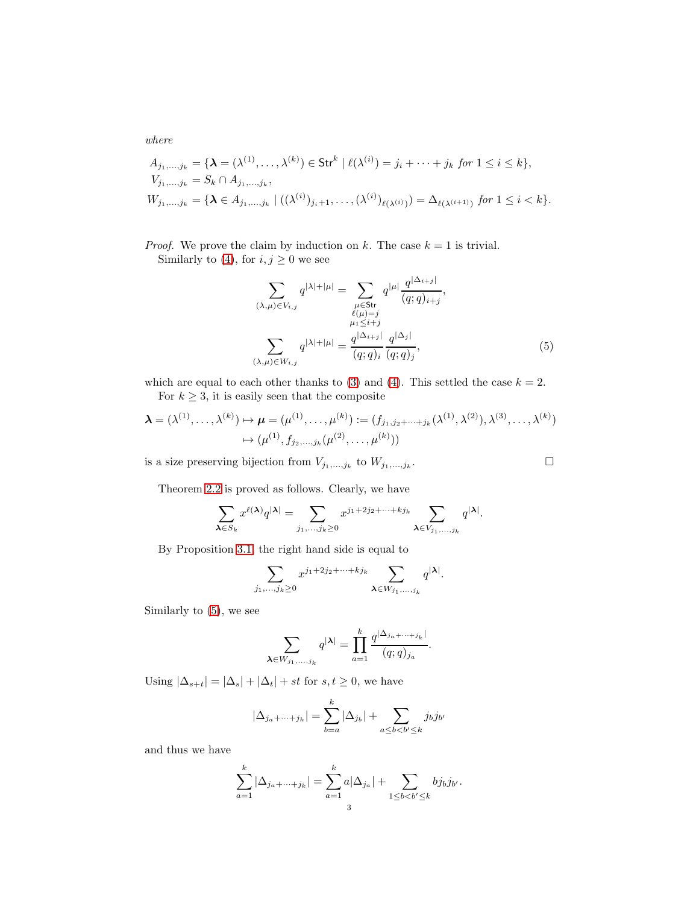where

$$
A_{j_1,...,j_k} = \{ \mathbf{\lambda} = (\lambda^{(1)}, ..., \lambda^{(k)}) \in \text{Str}^k \mid \ell(\lambda^{(i)}) = j_i + \dots + j_k \text{ for } 1 \le i \le k \},
$$
  
\n
$$
V_{j_1,...,j_k} = S_k \cap A_{j_1,...,j_k},
$$
  
\n
$$
W_{j_1,...,j_k} = \{ \mathbf{\lambda} \in A_{j_1,...,j_k} \mid ((\lambda^{(i)})_{j_i+1}, ..., (\lambda^{(i)})_{\ell(\lambda^{(i)})}) = \Delta_{\ell(\lambda^{(i+1)})} \text{ for } 1 \le i < k \}.
$$

*Proof.* We prove the claim by induction on k. The case  $k = 1$  is trivial. Similarly to [\(4\)](#page-1-1), for  $i, j \ge 0$  we see

<span id="page-2-0"></span>
$$
\sum_{(\lambda,\mu)\in V_{i,j}} q^{|\lambda|+|\mu|} = \sum_{\substack{\mu\in Str \\ \ell(\mu)=j \\ \mu_1\leq i+j \\ \mu_2\leq i \text{ and } q}} q^{|\mu|} \frac{q^{|\Delta_{i+j}|}}{(q;q)_{i+j}},
$$
\n
$$
\sum_{(\lambda,\mu)\in W_{i,j}} q^{|\lambda|+|\mu|} = \frac{q^{|\Delta_{i+j}|}}{(q;q)_i} \frac{q^{|\Delta_j|}}{(q;q)_j},
$$
\n(5)

which are equal to each other thanks to [\(3\)](#page-1-2) and [\(4\)](#page-1-1). This settled the case  $k = 2$ . For  $k \geq 3$ , it is easily seen that the composite

$$
\lambda = (\lambda^{(1)}, \dots, \lambda^{(k)}) \mapsto \mu = (\mu^{(1)}, \dots, \mu^{(k)}) := (f_{j_1, j_2 + \dots + j_k}(\lambda^{(1)}, \lambda^{(2)}), \lambda^{(3)}, \dots, \lambda^{(k)})
$$

$$
\mapsto (\mu^{(1)}, f_{j_2, \dots, j_k}(\mu^{(2)}, \dots, \mu^{(k)}))
$$

is a size preserving bijection from  $V_{j_1,\dots,j_k}$  to  $W_{j_1,\dots,j_k}$ . — Процессиональные производствование и производствование и производствование и производствование и производс<br>В 1990 году в 1990 году в 1990 году в 1990 году в 1990 году в 1990 году в 1990 году в 1990 году в 1990 году в<br>

Theorem [2.2](#page-1-0) is proved as follows. Clearly, we have

$$
\sum_{\pmb{\lambda} \in S_k} x^{\ell(\pmb{\lambda})} q^{|\pmb{\lambda}|} = \sum_{j_1, \dots, j_k \geq 0} x^{j_1 + 2j_2 + \dots + kj_k} \sum_{\pmb{\lambda} \in V_{j_1, \dots, j_k}} q^{|\pmb{\lambda}|}.
$$

By Proposition [3.1,](#page-1-3) the right hand side is equal to

$$
\sum_{j_1,\ldots,j_k\geq 0} x^{j_1+2j_2+\cdots+kj_k} \sum_{\pmb{\lambda}\in W_{j_1,\ldots,j_k}} q^{|\pmb{\lambda}|}.
$$

Similarly to [\(5\)](#page-2-0), we see

$$
\sum_{\lambda \in W_{j_1,...,j_k}} q^{|\lambda|} = \prod_{a=1}^k \frac{q^{|\Delta_{j_a+...+j_k}|}}{(q;q)_{j_a}}.
$$

Using  $|\Delta_{s+t}| = |\Delta_s| + |\Delta_t| + st$  for  $s, t \geq 0$ , we have

$$
|\Delta_{j_a+\cdots+j_k}|=\sum_{b=a}^k|\Delta_{j_b}|+\sum_{a\leq b
$$

and thus we have

$$
\sum_{a=1}^{k} |\Delta_{j_a + \dots + j_k}| = \sum_{a=1}^{k} a |\Delta_{j_a}| + \sum_{1 \le b < b' \le k} b j_b j_{b'}.
$$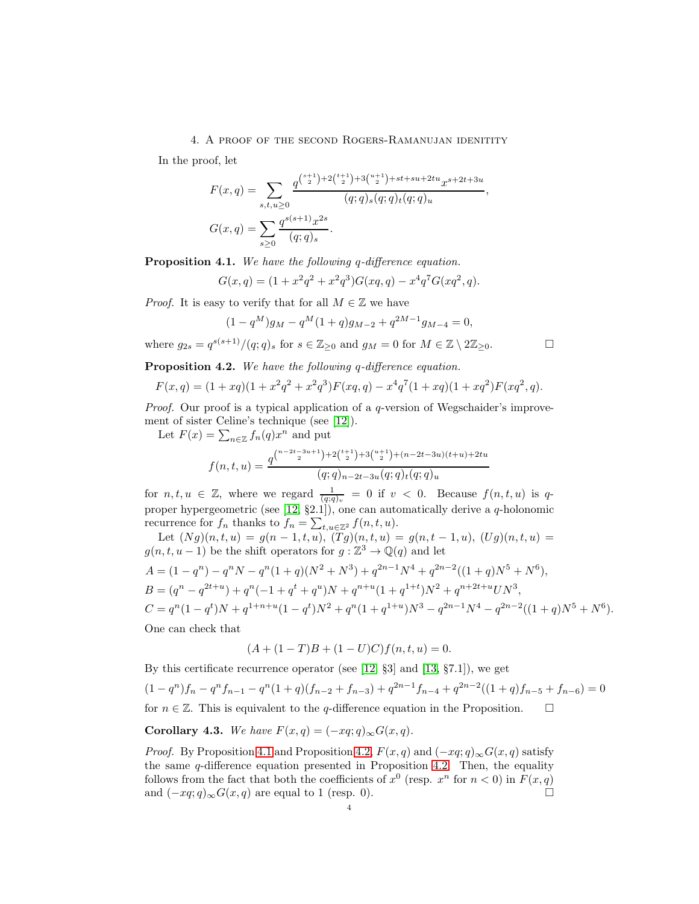4. A proof of the second Rogers-Ramanujan idenitity

In the proof, let

$$
F(x,q) = \sum_{s,t,u \ge 0} \frac{q^{\binom{s+1}{2}+2\binom{t+1}{2}+3\binom{u+1}{2}+st+su+2tu} x^{s+2t+3u}}{(q;q)_s(q;q)_t(q;q)_u},
$$
  

$$
G(x,q) = \sum_{s \ge 0} \frac{q^{s(s+1)}x^{2s}}{(q;q)_s}.
$$

<span id="page-3-0"></span>Proposition 4.1. We have the following q-difference equation.

$$
G(x,q) = (1 + x^2 q^2 + x^2 q^3) G(xq,q) - x^4 q^7 G(xq^2,q).
$$

*Proof.* It is easy to verify that for all  $M \in \mathbb{Z}$  we have

$$
(1 - q^M)g_M - q^M(1 + q)g_{M-2} + q^{2M-1}g_{M-4} = 0,
$$

where  $g_{2s} = q^{s(s+1)}/(q;q)_s$  for  $s \in \mathbb{Z}_{\geq 0}$  and  $g_M = 0$  for  $M \in \mathbb{Z} \setminus 2\mathbb{Z}_{\geq 0}$ .

<span id="page-3-1"></span>Proposition 4.2. We have the following q-difference equation.

$$
F(x,q) = (1+xq)(1+x^2q^2+x^2q^3)F(xq,q) - x^4q^7(1+xq)(1+xq^2)F(xq^2,q).
$$

Proof. Our proof is a typical application of a q-version of Wegschaider's improvement of sister Celine's technique (see [\[12\]](#page-4-11)).

Let  $F(x) = \sum_{n \in \mathbb{Z}} f_n(q) x^n$  and put

$$
f(n,t,u) = \frac{q^{\binom{n-2t-3u+1}{2}+2\binom{t+1}{2}+3\binom{u+1}{2}+(n-2t-3u)(t+u)+2tu}}{(q;q)_{n-2t-3u}(q;q)_t(q;q)_u}
$$

for  $n, t, u \in \mathbb{Z}$ , where we regard  $\frac{1}{(q;q)_v} = 0$  if  $v < 0$ . Because  $f(n,t,u)$  is qproper hypergeometric (see [\[12,](#page-4-11) §2.1]), one can automatically derive a q-holonomic recurrence for  $f_n$  thanks to  $f_n = \sum_{t,u \in \mathbb{Z}^2} f(n,t,u)$ .

Let  $(Ng)(n, t, u) = g(n-1, t, u), (Tg)(n, t, u) = g(n, t - 1, u), (Ug)(n, t, u) =$  $g(n, t, u-1)$  be the shift operators for  $g: \mathbb{Z}^3 \to \mathbb{Q}(q)$  and let  $A = (1 - q^n) - q^n N - q^n (1 + q)(N^2 + N^3) + q^{2n-1} N^4 + q^{2n-2} ((1 + q)N^5 + N^6),$ 

B = (q <sup>n</sup> − q 2t+u ) + q n (−1 + q <sup>t</sup> + q u )N + q n+u (1 + q 1+t )N <sup>2</sup> + q <sup>n</sup>+2t+<sup>u</sup>UN<sup>3</sup> , C = q n (1 − q t )N + q 1+n+u (1 − q t )N <sup>2</sup> + q n (1 + q 1+u )N <sup>3</sup> − q <sup>2</sup>n−<sup>1</sup>N <sup>4</sup> − q 2n−2 ((1 + q)N <sup>5</sup> + N 6 ).

One can check that

$$
(A + (1 - T)B + (1 - U)C) f (n, t, u) = 0.
$$

By this certificate recurrence operator (see [\[12,](#page-4-11) §3] and [\[13,](#page-4-12) §7.1]), we get  $(1 - q^n)f_n - q^n f_{n-1} - q^n (1 + q)(f_{n-2} + f_{n-3}) + q^{2n-1}f_{n-4} + q^{2n-2}((1+q)f_{n-5} + f_{n-6}) = 0$ for  $n \in \mathbb{Z}$ . This is equivalent to the q-difference equation in the Proposition.  $\square$ 

<span id="page-3-2"></span>Corollary 4.3. We have  $F(x,q) = (-xq;q)_{\infty} G(x,q)$ .

*Proof.* By Proposition [4.1](#page-3-0) and Proposition [4.2,](#page-3-1)  $F(x, q)$  and  $(-xq; q)_{\infty} G(x, q)$  satisfy the same  $q$ -difference equation presented in Proposition [4.2.](#page-3-1) Then, the equality follows from the fact that both the coefficients of  $x^0$  (resp.  $x^n$  for  $n < 0$ ) in  $F(x, q)$ and  $(-xq;q)_{\infty}G(x,q)$  are equal to 1 (resp. 0).